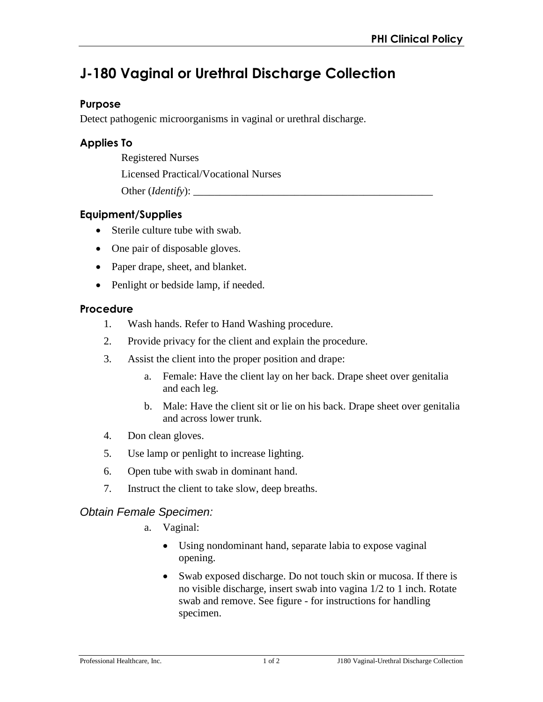# **J-180 Vaginal or Urethral Discharge Collection**

### **Purpose**

Detect pathogenic microorganisms in vaginal or urethral discharge.

# **Applies To**

Registered Nurses

Licensed Practical/Vocational Nurses

Other (*Identify*): \_\_\_\_\_\_\_\_\_\_\_\_\_\_\_\_\_\_\_\_\_\_\_\_\_\_\_\_\_\_\_\_\_\_\_\_\_\_\_\_\_\_\_\_\_

# **Equipment/Supplies**

- Sterile culture tube with swab.
- One pair of disposable gloves.
- Paper drape, sheet, and blanket.
- Penlight or bedside lamp, if needed.

### **Procedure**

- 1. Wash hands. Refer to Hand Washing procedure.
- 2. Provide privacy for the client and explain the procedure.
- 3. Assist the client into the proper position and drape:
	- a. Female: Have the client lay on her back. Drape sheet over genitalia and each leg.
	- b. Male: Have the client sit or lie on his back. Drape sheet over genitalia and across lower trunk.
- 4. Don clean gloves.
- 5. Use lamp or penlight to increase lighting.
- 6. Open tube with swab in dominant hand.
- 7. Instruct the client to take slow, deep breaths.

# *Obtain Female Specimen:*

- a. Vaginal:
	- Using nondominant hand, separate labia to expose vaginal opening.
	- Swab exposed discharge. Do not touch skin or mucosa. If there is no visible discharge, insert swab into vagina 1/2 to 1 inch. Rotate swab and remove. See figure - for instructions for handling specimen.